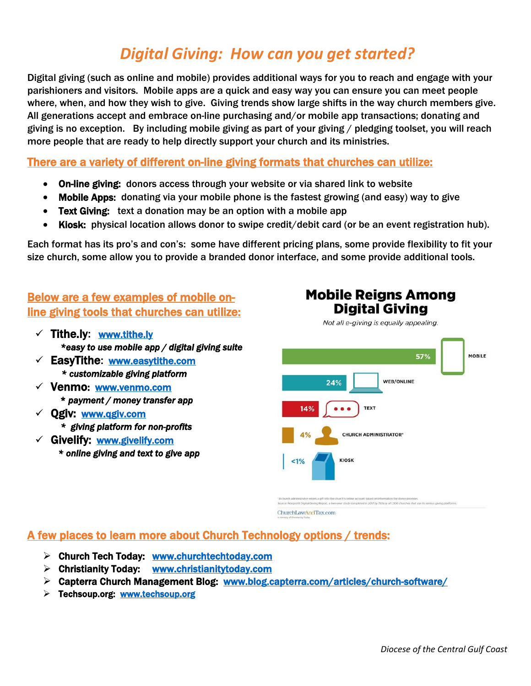# *Digital Giving: How can you get started?*

Digital giving (such as online and mobile) provides additional ways for you to reach and engage with your parishioners and visitors. Mobile apps are a quick and easy way you can ensure you can meet people where, when, and how they wish to give. Giving trends show large shifts in the way church members give. All generations accept and embrace on-line purchasing and/or mobile app transactions; donating and giving is no exception. By including mobile giving as part of your giving / pledging toolset, you will reach more people that are ready to help directly support your church and its ministries.

There are a variety of different on-line giving formats that churches can utilize:

- On-line giving: donors access through your website or via shared link to website
- Mobile Apps: donating via your mobile phone is the fastest growing (and easy) way to give
- Text Giving: text a donation may be an option with a mobile app
- Kiosk: physical location allows donor to swipe credit/debit card (or be an event registration hub).

Each format has its pro's and con's: some have different pricing plans, some provide flexibility to fit your size church, some allow you to provide a branded donor interface, and some provide additional tools.

## Below are a few examples of mobile online giving tools that churches can utilize:

- $\checkmark$  Tithe.ly: www.tithe.ly  *\*easy to use mobile app / digital giving suite*
- EasyTithe: [www.easytithe.com](http://www.easytithe.com/)  *\* customizable giving platform*
- $\checkmark$  Venmo: www.venmo.com \* *payment / money transfer app*
- Qgiv: [www.qgiv.com](http://www.qgiv.com/)   *\* giving platform for non-profits*
- $\checkmark$  Givelify: www.givelify.com  *\* online giving and text to give app*



**Mobile Reigns Among Digital Giving** 

ChurchLawAndTax.com

#### A few places to learn more about Church Technology options / trends:

- $\triangleright$  Church Tech Today: www.churchtechtoday.com
- $\triangleright$  Christianity Today: www.christianitytoday.com
- Capterra Church Management Blog: [www.blog.capterra.com/articles/church-software/](http://www.blog.capterra.com/articles/church-software/)
- $\triangleright$  Techsoup.org: www.techsoup.org